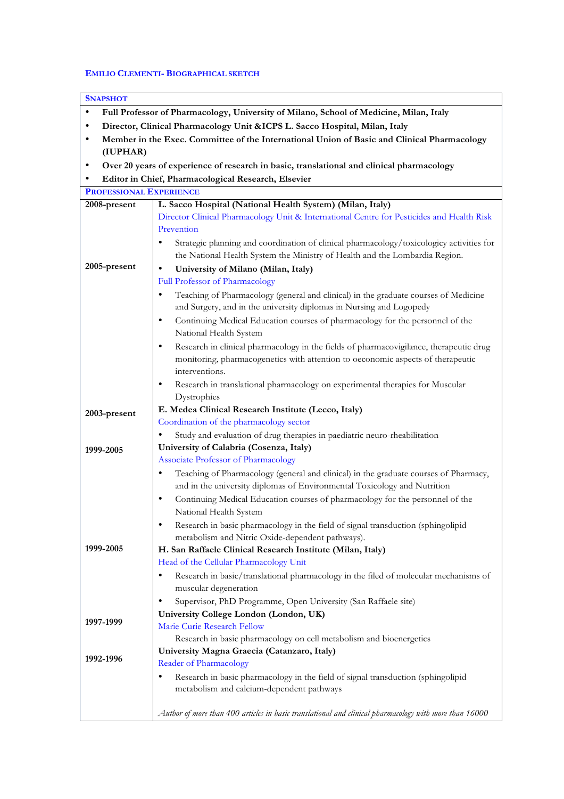## **EMILIO CLEMENTI- BIOGRAPHICAL SKETCH**

| <b>SNAPSHOT</b>                                                                                         |                                                                                                                                                                  |  |
|---------------------------------------------------------------------------------------------------------|------------------------------------------------------------------------------------------------------------------------------------------------------------------|--|
| Full Professor of Pharmacology, University of Milano, School of Medicine, Milan, Italy<br>$\bullet$     |                                                                                                                                                                  |  |
| Director, Clinical Pharmacology Unit & ICPS L. Sacco Hospital, Milan, Italy<br>$\bullet$                |                                                                                                                                                                  |  |
| $\bullet$                                                                                               |                                                                                                                                                                  |  |
| Member in the Exec. Committee of the International Union of Basic and Clinical Pharmacology<br>(IUPHAR) |                                                                                                                                                                  |  |
| $\bullet$                                                                                               |                                                                                                                                                                  |  |
| Over 20 years of experience of research in basic, translational and clinical pharmacology               |                                                                                                                                                                  |  |
| Editor in Chief, Pharmacological Research, Elsevier<br>$\bullet$                                        |                                                                                                                                                                  |  |
| <b>PROFESSIONAL EXPERIENCE</b>                                                                          |                                                                                                                                                                  |  |
| 2008-present                                                                                            | L. Sacco Hospital (National Health System) (Milan, Italy)                                                                                                        |  |
|                                                                                                         | Director Clinical Pharmacology Unit & International Centre for Pesticides and Health Risk<br>Prevention                                                          |  |
|                                                                                                         |                                                                                                                                                                  |  |
|                                                                                                         | Strategic planning and coordination of clinical pharmacology/toxicologicy activities for                                                                         |  |
| 2005-present                                                                                            | the National Health System the Ministry of Health and the Lombardia Region.                                                                                      |  |
|                                                                                                         | University of Milano (Milan, Italy)<br>$\bullet$                                                                                                                 |  |
|                                                                                                         | Full Professor of Pharmacology                                                                                                                                   |  |
|                                                                                                         | Teaching of Pharmacology (general and clinical) in the graduate courses of Medicine<br>٠                                                                         |  |
|                                                                                                         | and Surgery, and in the university diplomas in Nursing and Logopedy                                                                                              |  |
|                                                                                                         | Continuing Medical Education courses of pharmacology for the personnel of the<br>٠                                                                               |  |
|                                                                                                         | National Health System                                                                                                                                           |  |
|                                                                                                         | Research in clinical pharmacology in the fields of pharmacovigilance, therapeutic drug<br>٠                                                                      |  |
|                                                                                                         | monitoring, pharmacogenetics with attention to oeconomic aspects of therapeutic                                                                                  |  |
|                                                                                                         | interventions.                                                                                                                                                   |  |
|                                                                                                         | Research in translational pharmacology on experimental therapies for Muscular<br>٠                                                                               |  |
|                                                                                                         | Dystrophies                                                                                                                                                      |  |
| 2003-present                                                                                            | E. Medea Clinical Research Institute (Lecco, Italy)                                                                                                              |  |
|                                                                                                         | Coordination of the pharmacology sector                                                                                                                          |  |
|                                                                                                         | Study and evaluation of drug therapies in paediatric neuro-rheabilitation<br>$\bullet$                                                                           |  |
| 1999-2005                                                                                               | University of Calabria (Cosenza, Italy)                                                                                                                          |  |
|                                                                                                         | Associate Professor of Pharmacology<br>$\bullet$                                                                                                                 |  |
|                                                                                                         | Teaching of Pharmacology (general and clinical) in the graduate courses of Pharmacy,<br>and in the university diplomas of Environmental Toxicology and Nutrition |  |
|                                                                                                         | ٠                                                                                                                                                                |  |
|                                                                                                         | Continuing Medical Education courses of pharmacology for the personnel of the                                                                                    |  |
|                                                                                                         | National Health System                                                                                                                                           |  |
|                                                                                                         | Research in basic pharmacology in the field of signal transduction (sphingolipid<br>٠                                                                            |  |
| 1999-2005                                                                                               | metabolism and Nitric Oxide-dependent pathways).                                                                                                                 |  |
|                                                                                                         | H. San Raffaele Clinical Research Institute (Milan, Italy)<br>Head of the Cellular Pharmacology Unit                                                             |  |
|                                                                                                         | Research in basic/translational pharmacology in the filed of molecular mechanisms of<br>٠                                                                        |  |
|                                                                                                         | muscular degeneration                                                                                                                                            |  |
|                                                                                                         | Supervisor, PhD Programme, Open University (San Raffaele site)<br>٠                                                                                              |  |
|                                                                                                         | University College London (London, UK)                                                                                                                           |  |
| 1997-1999                                                                                               | Marie Curie Research Fellow                                                                                                                                      |  |
|                                                                                                         | Research in basic pharmacology on cell metabolism and bioenergetics                                                                                              |  |
|                                                                                                         | University Magna Graecia (Catanzaro, Italy)                                                                                                                      |  |
| 1992-1996                                                                                               | Reader of Pharmacology                                                                                                                                           |  |
|                                                                                                         | Research in basic pharmacology in the field of signal transduction (sphingolipid<br>$\bullet$                                                                    |  |
|                                                                                                         | metabolism and calcium-dependent pathways                                                                                                                        |  |
|                                                                                                         |                                                                                                                                                                  |  |
|                                                                                                         | Author of more than 400 articles in basic translational and clinical pharmacology with more than 16000                                                           |  |